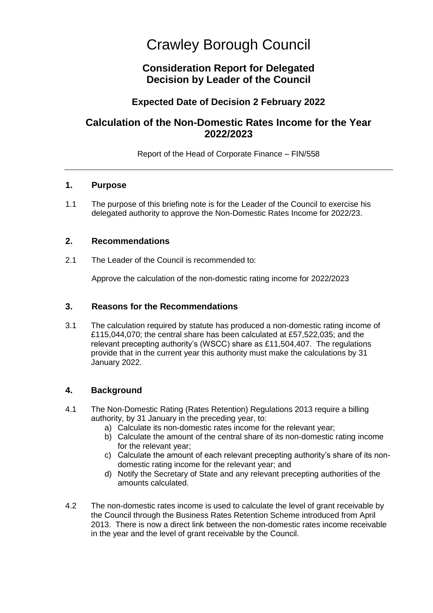# Crawley Borough Council

# **Consideration Report for Delegated Decision by Leader of the Council**

## **Expected Date of Decision 2 February 2022**

# **Calculation of the Non-Domestic Rates Income for the Year 2022/2023**

Report of the Head of Corporate Finance – FIN/558

#### **1. Purpose**

1.1 The purpose of this briefing note is for the Leader of the Council to exercise his delegated authority to approve the Non-Domestic Rates Income for 2022/23.

### **2. Recommendations**

2.1 The Leader of the Council is recommended to:

Approve the calculation of the non-domestic rating income for 2022/2023

## **3. Reasons for the Recommendations**

3.1 The calculation required by statute has produced a non-domestic rating income of £115,044,070; the central share has been calculated at £57,522,035; and the relevant precepting authority's (WSCC) share as £11,504,407. The regulations provide that in the current year this authority must make the calculations by 31 January 2022.

## **4. Background**

- 4.1 The Non-Domestic Rating (Rates Retention) Regulations 2013 require a billing authority, by 31 January in the preceding year, to:
	- a) Calculate its non-domestic rates income for the relevant year;
	- b) Calculate the amount of the central share of its non-domestic rating income for the relevant year;
	- c) Calculate the amount of each relevant precepting authority's share of its nondomestic rating income for the relevant year; and
	- d) Notify the Secretary of State and any relevant precepting authorities of the amounts calculated.
- 4.2 The non-domestic rates income is used to calculate the level of grant receivable by the Council through the Business Rates Retention Scheme introduced from April 2013. There is now a direct link between the non-domestic rates income receivable in the year and the level of grant receivable by the Council.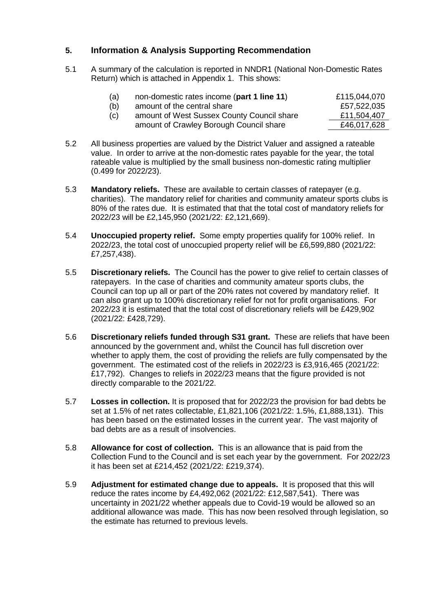## **5. Information & Analysis Supporting Recommendation**

5.1 A summary of the calculation is reported in NNDR1 (National Non-Domestic Rates Return) which is attached in Appendix 1. This shows:

| (a) | non-domestic rates income (part 1 line 11) | £115,044,070 |
|-----|--------------------------------------------|--------------|
| (b) | amount of the central share                | £57,522,035  |
| (c) | amount of West Sussex County Council share | £11,504,407  |
|     | amount of Crawley Borough Council share    | £46,017,628  |

- 5.2 All business properties are valued by the District Valuer and assigned a rateable value. In order to arrive at the non-domestic rates payable for the year, the total rateable value is multiplied by the small business non-domestic rating multiplier (0.499 for 2022/23).
- 5.3 **Mandatory reliefs.** These are available to certain classes of ratepayer (e.g. charities). The mandatory relief for charities and community amateur sports clubs is 80% of the rates due. It is estimated that that the total cost of mandatory reliefs for 2022/23 will be £2,145,950 (2021/22: £2,121,669).
- 5.4 **Unoccupied property relief.** Some empty properties qualify for 100% relief. In 2022/23, the total cost of unoccupied property relief will be £6,599,880 (2021/22: £7,257,438).
- 5.5 **Discretionary reliefs.** The Council has the power to give relief to certain classes of ratepayers. In the case of charities and community amateur sports clubs, the Council can top up all or part of the 20% rates not covered by mandatory relief. It can also grant up to 100% discretionary relief for not for profit organisations. For 2022/23 it is estimated that the total cost of discretionary reliefs will be £429,902 (2021/22: £428,729).
- 5.6 **Discretionary reliefs funded through S31 grant.** These are reliefs that have been announced by the government and, whilst the Council has full discretion over whether to apply them, the cost of providing the reliefs are fully compensated by the government. The estimated cost of the reliefs in 2022/23 is £3,916,465 (2021/22: £17,792). Changes to reliefs in 2022/23 means that the figure provided is not directly comparable to the 2021/22.
- 5.7 **Losses in collection.** It is proposed that for 2022/23 the provision for bad debts be set at 1.5% of net rates collectable, £1,821,106 (2021/22: 1.5%, £1,888,131). This has been based on the estimated losses in the current year. The vast majority of bad debts are as a result of insolvencies.
- 5.8 **Allowance for cost of collection.** This is an allowance that is paid from the Collection Fund to the Council and is set each year by the government. For 2022/23 it has been set at £214,452 (2021/22: £219,374).
- 5.9 **Adjustment for estimated change due to appeals.** It is proposed that this will reduce the rates income by £4,492,062 (2021/22: £12,587,541). There was uncertainty in 2021/22 whether appeals due to Covid-19 would be allowed so an additional allowance was made. This has now been resolved through legislation, so the estimate has returned to previous levels.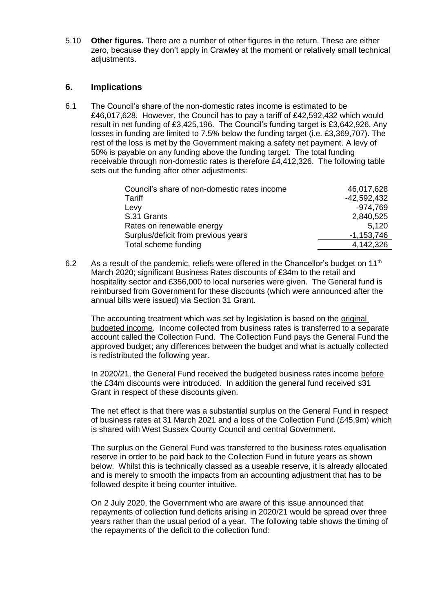5.10 **Other figures.** There are a number of other figures in the return. These are either zero, because they don't apply in Crawley at the moment or relatively small technical adjustments.

#### **6. Implications**

6.1 The Council's share of the non-domestic rates income is estimated to be £46,017,628. However, the Council has to pay a tariff of £42,592,432 which would result in net funding of £3,425,196. The Council's funding target is £3,642,926. Any losses in funding are limited to 7.5% below the funding target (i.e. £3,369,707). The rest of the loss is met by the Government making a safety net payment. A levy of 50% is payable on any funding above the funding target. The total funding receivable through non-domestic rates is therefore £4,412,326. The following table sets out the funding after other adjustments:

| Council's share of non-domestic rates income | 46,017,628    |
|----------------------------------------------|---------------|
| Tariff                                       | $-42,592,432$ |
| Levy                                         | $-974,769$    |
| S.31 Grants                                  | 2,840,525     |
| Rates on renewable energy                    | 5,120         |
| Surplus/deficit from previous years          | $-1,153,746$  |
| Total scheme funding                         | 4,142,326     |

6.2 As a result of the pandemic, reliefs were offered in the Chancellor's budget on  $11<sup>th</sup>$ March 2020; significant Business Rates discounts of £34m to the retail and hospitality sector and £356,000 to local nurseries were given. The General fund is reimbursed from Government for these discounts (which were announced after the annual bills were issued) via Section 31 Grant.

The accounting treatment which was set by legislation is based on the original budgeted income. Income collected from business rates is transferred to a separate account called the Collection Fund. The Collection Fund pays the General Fund the approved budget; any differences between the budget and what is actually collected is redistributed the following year.

In 2020/21, the General Fund received the budgeted business rates income before the £34m discounts were introduced. In addition the general fund received s31 Grant in respect of these discounts given.

The net effect is that there was a substantial surplus on the General Fund in respect of business rates at 31 March 2021 and a loss of the Collection Fund (£45.9m) which is shared with West Sussex County Council and central Government.

The surplus on the General Fund was transferred to the business rates equalisation reserve in order to be paid back to the Collection Fund in future years as shown below. Whilst this is technically classed as a useable reserve, it is already allocated and is merely to smooth the impacts from an accounting adjustment that has to be followed despite it being counter intuitive.

On 2 July 2020, the Government who are aware of this issue announced that repayments of collection fund deficits arising in 2020/21 would be spread over three years rather than the usual period of a year. The following table shows the timing of the repayments of the deficit to the collection fund: